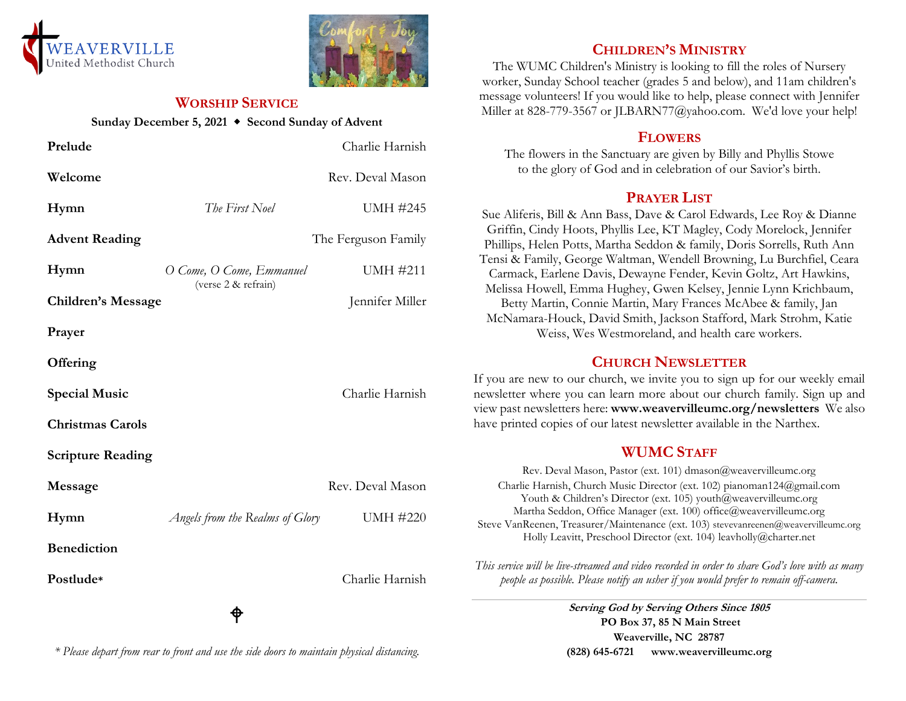



### **WORSHIP SERVICE**

#### **Sunday December 5, 2021 Second Sunday of Advent**

| Prelude                   |                                                 | Charlie Harnish     |
|---------------------------|-------------------------------------------------|---------------------|
| Welcome                   |                                                 | Rev. Deval Mason    |
| Hymn                      | The First Noel                                  | <b>UMH #245</b>     |
| <b>Advent Reading</b>     |                                                 | The Ferguson Family |
| Hymn                      | O Come, O Come, Emmanuel<br>(verse 2 & refrain) | <b>UMH #211</b>     |
| <b>Children's Message</b> |                                                 | Jennifer Miller     |
| Prayer                    |                                                 |                     |
| Offering                  |                                                 |                     |
| <b>Special Music</b>      |                                                 | Charlie Harnish     |
| <b>Christmas Carols</b>   |                                                 |                     |
| <b>Scripture Reading</b>  |                                                 |                     |
| Message                   |                                                 | Rev. Deval Mason    |
| Hymn                      | Angels from the Realms of Glory                 | <b>UMH #220</b>     |
| <b>Benediction</b>        |                                                 |                     |
| Postlude*                 |                                                 | Charlie Harnish     |
|                           | Φ                                               |                     |

# **CHILDREN'S MINISTRY**

The WUMC Children's Ministry is looking to fill the roles of Nursery worker, Sunday School teacher (grades 5 and below), and 11am children's message volunteers! If you would like to help, please connect with Jennifer Miller at 828-779-3567 or JLBARN77@yahoo.com. We'd love your help!

## **FLOWERS**

The flowers in the Sanctuary are given by Billy and Phyllis Stowe to the glory of God and in celebration of our Savior's birth.

# **PRAYER LIST**

Sue Aliferis, Bill & Ann Bass, Dave & Carol Edwards, Lee Roy & Dianne Griffin, Cindy Hoots, Phyllis Lee, KT Magley, Cody Morelock, Jennifer Phillips, Helen Potts, Martha Seddon & family, Doris Sorrells, Ruth Ann Tensi & Family, George Waltman, Wendell Browning, Lu Burchfiel, Ceara Carmack, Earlene Davis, Dewayne Fender, Kevin Goltz, Art Hawkins, Melissa Howell, Emma Hughey, Gwen Kelsey, Jennie Lynn Krichbaum, Betty Martin, Connie Martin, Mary Frances McAbee & family, Jan McNamara-Houck, David Smith, Jackson Stafford, Mark Strohm, Katie Weiss, Wes Westmoreland, and health care workers.

# **CHURCH NEWSLETTER**

If you are new to our church, we invite you to sign up for our weekly email newsletter where you can learn more about our church family. Sign up and view past newsletters here: **www.weavervilleumc.org/newsletters** We also have printed copies of our latest newsletter available in the Narthex.

# **WUMC STAFF**

Rev. Deval Mason, Pastor (ext. 101) dmason@weavervilleumc.org Charlie Harnish, Church Music Director (ext. 102) pianoman124@gmail.com Youth & Children's Director (ext. 105) youth@weavervilleumc.org Martha Seddon, Office Manager (ext. 100) office@weavervilleumc.org Steve VanReenen, Treasurer/Maintenance (ext. 103) stevevanreenen@weavervilleumc.org Holly Leavitt, Preschool Director (ext. 104) leavholly@charter.net

*This service will be live-streamed and video recorded in order to share God's love with as many people as possible. Please notify an usher if you would prefer to remain off-camera.*

> **Serving God by Serving Others Since 1805 PO Box 37, 85 N Main Street Weaverville, NC 28787 (828) 645-6721 [www.weavervilleumc.org](http://www.weavervilleumc.org/)**

## *\* Please depart from rear to front and use the side doors to maintain physical distancing.*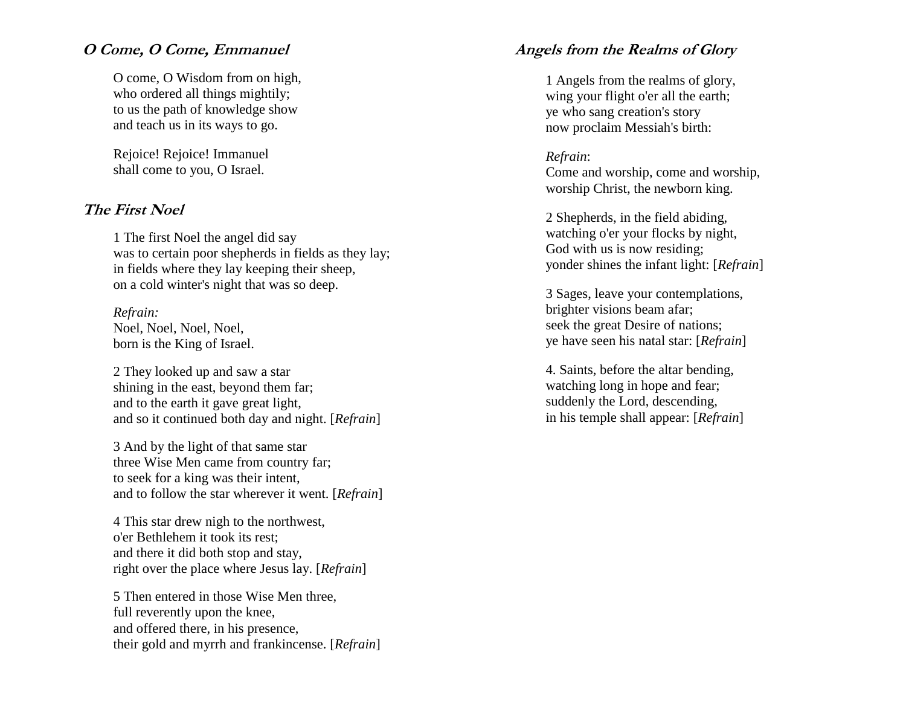#### **O Come, O Come, Emmanuel**

O come, O Wisdom from on high, who ordered all things mightily; to us the path of knowledge show and teach us in its ways to go.

Rejoice! Rejoice! Immanuel shall come to you, O Israel.

#### **The First Noel**

1 The first Noel the angel did say was to certain poor shepherds in fields as they lay; in fields where they lay keeping their sheep, on a cold winter's night that was so deep.

*Refrain:* Noel, Noel, Noel, Noel, born is the King of Israel.

2 They looked up and saw a star shining in the east, beyond them far; and to the earth it gave great light, and so it continued both day and night. [*Refrain*]

3 And by the light of that same star three Wise Men came from country far; to seek for a king was their intent, and to follow the star wherever it went. [*Refrain*]

4 This star drew nigh to the northwest, o'er Bethlehem it took its rest; and there it did both stop and stay, right over the place where Jesus lay. [*Refrain*]

5 Then entered in those Wise Men three, full reverently upon the knee, and offered there, in his presence, their gold and myrrh and frankincense. [*Refrain*]

## **Angels from the Realms of Glory**

1 Angels from the realms of glory, wing your flight o'er all the earth; ye who sang creation's story now proclaim Messiah's birth:

#### *Refrain*:

Come and worship, come and worship, worship Christ, the newborn king.

2 Shepherds, in the field abiding, watching o'er your flocks by night, God with us is now residing; yonder shines the infant light: [*Refrain*]

3 Sages, leave your contemplations, brighter visions beam afar; seek the great Desire of nations; ye have seen his natal star: [*Refrain*]

4. Saints, before the altar bending, watching long in hope and fear; suddenly the Lord, descending, in his temple shall appear: [*Refrain*]